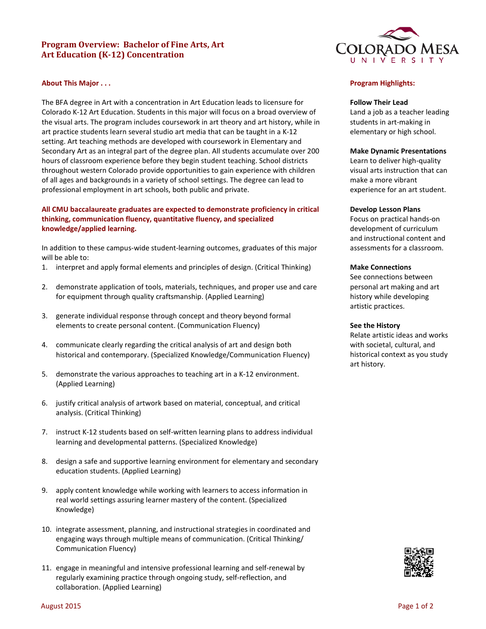# **Program Overview: Bachelor of Fine Arts, Art Art Education (K-12) Concentration**



### **About This Major . . .**

The BFA degree in Art with a concentration in Art Education leads to licensure for Colorado K-12 Art Education. Students in this major will focus on a broad overview of the visual arts. The program includes coursework in art theory and art history, while in art practice students learn several studio art media that can be taught in a K-12 setting. Art teaching methods are developed with coursework in Elementary and Secondary Art as an integral part of the degree plan. All students accumulate over 200 hours of classroom experience before they begin student teaching. School districts throughout western Colorado provide opportunities to gain experience with children of all ages and backgrounds in a variety of school settings. The degree can lead to professional employment in art schools, both public and private.

### **All CMU baccalaureate graduates are expected to demonstrate proficiency in critical thinking, communication fluency, quantitative fluency, and specialized knowledge/applied learning.**

In addition to these campus-wide student-learning outcomes, graduates of this major will be able to:

- 1. interpret and apply formal elements and principles of design. (Critical Thinking)
- 2. demonstrate application of tools, materials, techniques, and proper use and care for equipment through quality craftsmanship. (Applied Learning)
- 3. generate individual response through concept and theory beyond formal elements to create personal content. (Communication Fluency)
- 4. communicate clearly regarding the critical analysis of art and design both historical and contemporary. (Specialized Knowledge/Communication Fluency)
- 5. demonstrate the various approaches to teaching art in a K-12 environment. (Applied Learning)
- 6. justify critical analysis of artwork based on material, conceptual, and critical analysis. (Critical Thinking)
- 7. instruct K-12 students based on self-written learning plans to address individual learning and developmental patterns. (Specialized Knowledge)
- 8. design a safe and supportive learning environment for elementary and secondary education students. (Applied Learning)
- 9. apply content knowledge while working with learners to access information in real world settings assuring learner mastery of the content. (Specialized Knowledge)
- 10. integrate assessment, planning, and instructional strategies in coordinated and engaging ways through multiple means of communication. (Critical Thinking/ Communication Fluency)
- 11. engage in meaningful and intensive professional learning and self-renewal by regularly examining practice through ongoing study, self-reflection, and collaboration. (Applied Learning)

### **Program Highlights:**

### **Follow Their Lead**

Land a job as a teacher leading students in art-making in elementary or high school.

#### **Make Dynamic Presentations**

Learn to deliver high-quality visual arts instruction that can make a more vibrant experience for an art student.

#### **Develop Lesson Plans**

Focus on practical hands-on development of curriculum and instructional content and assessments for a classroom.

### **Make Connections**

See connections between personal art making and art history while developing artistic practices.

#### **See the History**

Relate artistic ideas and works with societal, cultural, and historical context as you study art history.